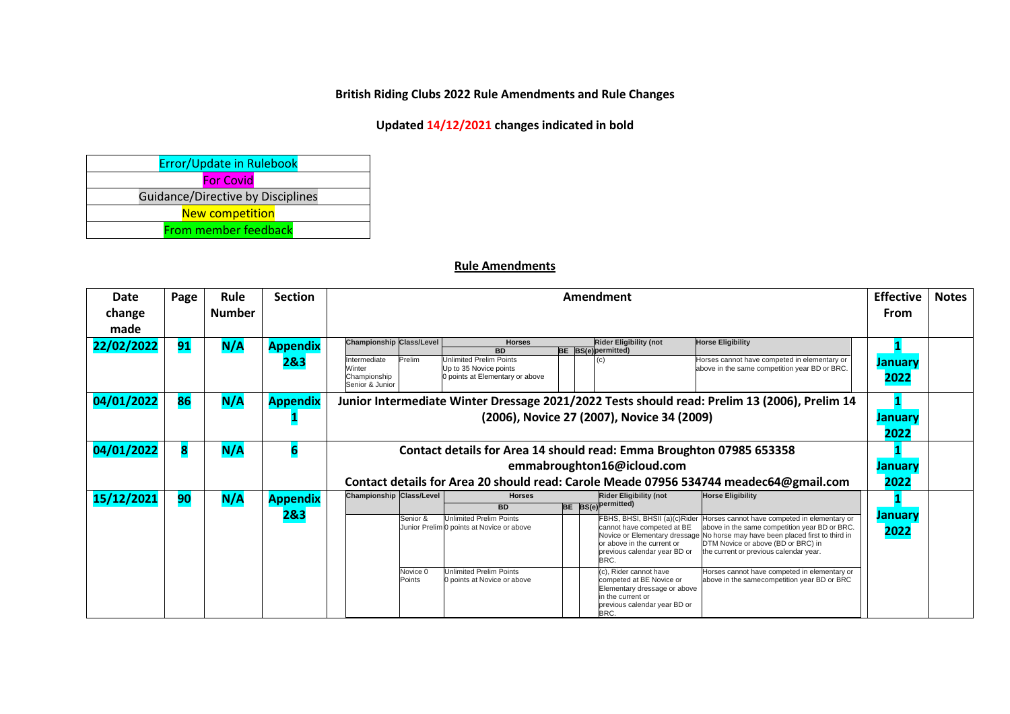## **British Riding Clubs 2022 Rule Amendments and Rule Changes**

## **Updated 14/12/2021 changes indicated in bold**

| Error/Update in Rulebook                 |  |  |  |  |  |  |  |
|------------------------------------------|--|--|--|--|--|--|--|
| <b>For Covid</b>                         |  |  |  |  |  |  |  |
| <b>Guidance/Directive by Disciplines</b> |  |  |  |  |  |  |  |
| <b>New competition</b>                   |  |  |  |  |  |  |  |
| <b>From member feedback</b>              |  |  |  |  |  |  |  |

## **Rule Amendments**

| Date<br>change<br>made | Page | <b>Rule</b><br><b>Number</b> | <b>Section</b>         | <b>Effective</b><br>Amendment                                                                                                                                                               |                                                                                                                                            |                                                                                                                                                                            |  |  |                                                                                                                                                                                                                                                                                                                                              |                                                                                                                                                                                                                                                                                                                                                                                           |                 | <b>Notes</b> |
|------------------------|------|------------------------------|------------------------|---------------------------------------------------------------------------------------------------------------------------------------------------------------------------------------------|--------------------------------------------------------------------------------------------------------------------------------------------|----------------------------------------------------------------------------------------------------------------------------------------------------------------------------|--|--|----------------------------------------------------------------------------------------------------------------------------------------------------------------------------------------------------------------------------------------------------------------------------------------------------------------------------------------------|-------------------------------------------------------------------------------------------------------------------------------------------------------------------------------------------------------------------------------------------------------------------------------------------------------------------------------------------------------------------------------------------|-----------------|--------------|
| 22/02/2022             | 91   | N/A                          | <b>Appendix</b><br>2&3 | <b>Championship Class/Level</b><br>Intermediate<br>Winter<br>Championship<br>Senior & Junior                                                                                                | Prelim                                                                                                                                     | <b>Horses</b><br><b>BD</b><br>Unlimited Prelim Points<br>Up to 35 Novice points<br>0 points at Elementary or above                                                         |  |  | <b>Rider Eligibility (not</b><br><b>BE</b> BS(e) permitted)<br>(C)                                                                                                                                                                                                                                                                           | <b>Horse Eligibility</b><br>Horses cannot have competed in elementary or<br>above in the same competition year BD or BRC.                                                                                                                                                                                                                                                                 | January<br>2022 |              |
| 04/01/2022             | 86   | N/A                          | <b>Appendix</b>        |                                                                                                                                                                                             | Junior Intermediate Winter Dressage 2021/2022 Tests should read: Prelim 13 (2006), Prelim 14<br>(2006), Novice 27 (2007), Novice 34 (2009) |                                                                                                                                                                            |  |  |                                                                                                                                                                                                                                                                                                                                              |                                                                                                                                                                                                                                                                                                                                                                                           |                 |              |
| 04/01/2022             | 8    | N/A                          |                        | Contact details for Area 14 should read: Emma Broughton 07985 653358<br>emmabroughton16@icloud.com<br>Contact details for Area 20 should read: Carole Meade 07956 534744 meadec64@gmail.com |                                                                                                                                            |                                                                                                                                                                            |  |  |                                                                                                                                                                                                                                                                                                                                              |                                                                                                                                                                                                                                                                                                                                                                                           |                 |              |
| 15/12/2021             | 90   | N/A                          | <b>Appendix</b><br>2&3 | <b>Championship Class/Level</b>                                                                                                                                                             | Senior &<br>Novice 0<br>Points                                                                                                             | <b>Horses</b><br><b>BD</b><br><b>Unlimited Prelim Points</b><br>Junior Prelim 0 points at Novice or above<br><b>Unlimited Prelim Points</b><br>0 points at Novice or above |  |  | <b>Rider Eligibility (not</b><br>BE BS(e) permitted)<br>FBHS, BHSI, BHSII (a)(c)Rider<br>cannot have competed at BE<br>or above in the current or<br>previous calendar year BD or<br>BRC.<br>(c). Rider cannot have<br>competed at BE Novice or<br>Elementary dressage or above<br>in the current or<br>previous calendar year BD or<br>BRC. | <b>Horse Eligibility</b><br>Horses cannot have competed in elementary or<br>above in the same competition year BD or BRC.<br>Novice or Elementary dressage No horse may have been placed first to third in<br>DTM Novice or above (BD or BRC) in<br>the current or previous calendar year.<br>Horses cannot have competed in elementary or<br>above in the samecompetition year BD or BRC | January<br>2022 |              |